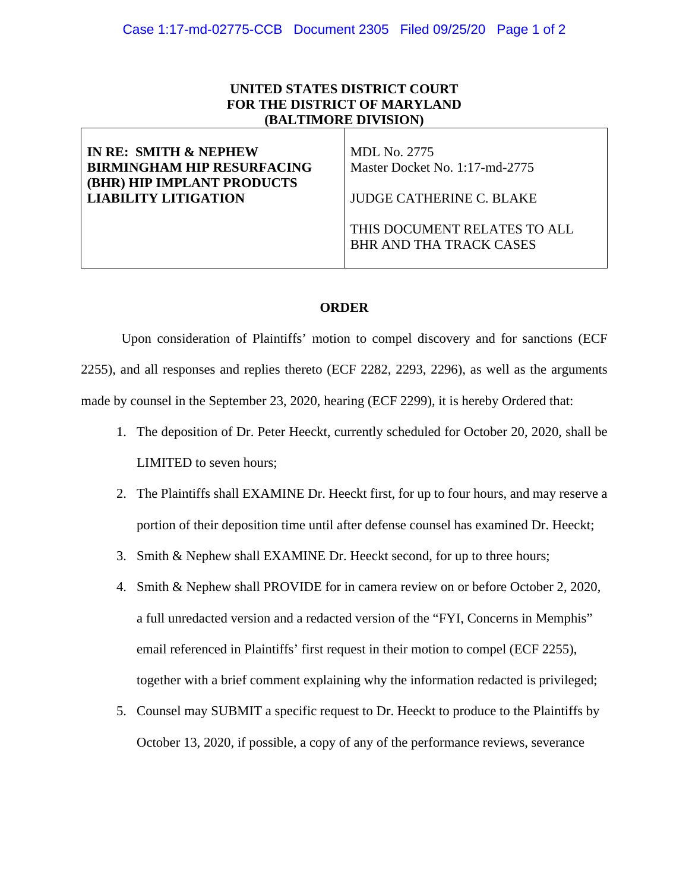## **UNITED STATES DISTRICT COURT FOR THE DISTRICT OF MARYLAND (BALTIMORE DIVISION)**

| IN RE: SMITH & NEPHEW<br><b>BIRMINGHAM HIP RESURFACING</b><br><b>(BHR) HIP IMPLANT PRODUCTS</b> | MDL No. 2775<br>Master Docket No. 1:17-md-2775                 |
|-------------------------------------------------------------------------------------------------|----------------------------------------------------------------|
| <b>LIABILITY LITIGATION</b>                                                                     | JUDGE CATHERINE C. BLAKE                                       |
|                                                                                                 | THIS DOCUMENT RELATES TO ALL<br><b>BHR AND THA TRACK CASES</b> |

## **ORDER**

 Upon consideration of Plaintiffs' motion to compel discovery and for sanctions (ECF 2255), and all responses and replies thereto (ECF 2282, 2293, 2296), as well as the arguments made by counsel in the September 23, 2020, hearing (ECF 2299), it is hereby Ordered that:

- 1. The deposition of Dr. Peter Heeckt, currently scheduled for October 20, 2020, shall be LIMITED to seven hours;
- 2. The Plaintiffs shall EXAMINE Dr. Heeckt first, for up to four hours, and may reserve a portion of their deposition time until after defense counsel has examined Dr. Heeckt;
- 3. Smith & Nephew shall EXAMINE Dr. Heeckt second, for up to three hours;
- 4. Smith & Nephew shall PROVIDE for in camera review on or before October 2, 2020, a full unredacted version and a redacted version of the "FYI, Concerns in Memphis" email referenced in Plaintiffs' first request in their motion to compel (ECF 2255), together with a brief comment explaining why the information redacted is privileged;
- 5. Counsel may SUBMIT a specific request to Dr. Heeckt to produce to the Plaintiffs by October 13, 2020, if possible, a copy of any of the performance reviews, severance